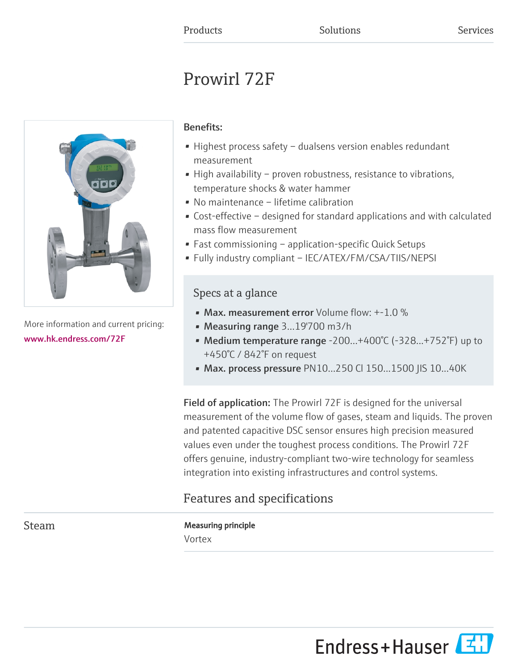# Prowirl 72F



More information and current pricing: [www.hk.endress.com/72F](https://www.hk.endress.com/72F)

### Benefits:

- Highest process safety dualsens version enables redundant measurement
- High availability proven robustness, resistance to vibrations, temperature shocks & water hammer
- No maintenance lifetime calibration
- Cost-effective designed for standard applications and with calculated mass flow measurement
- Fast commissioning application-specific Quick Setups
- Fully industry compliant IEC/ATEX/FM/CSA/TIIS/NEPSI

### Specs at a glance

- Max. measurement error Volume flow:  $+1.0\%$
- Measuring range 3...19'700 m3/h
- Medium temperature range -200...+400°C (-328...+752°F) up to +450°C / 842°F on request
- Max. process pressure PN10...250 CI 150...1500 JIS 10...40K

Field of application: The Prowirl 72F is designed for the universal measurement of the volume flow of gases, steam and liquids. The proven and patented capacitive DSC sensor ensures high precision measured values even under the toughest process conditions. The Prowirl 72F offers genuine, industry-compliant two-wire technology for seamless integration into existing infrastructures and control systems.

## Features and specifications

Steam Measuring principle Vortex

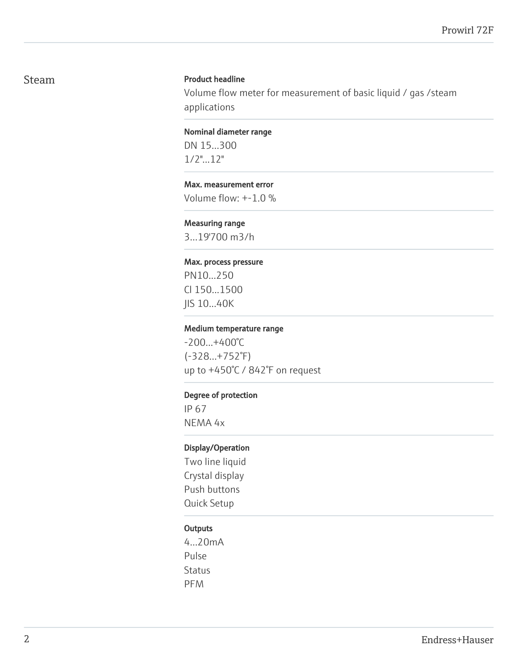### Steam Product headline

Volume flow meter for measurement of basic liquid / gas /steam applications

Nominal diameter range

DN 15...300 1/2"...12"

### Max. measurement error

Volume flow: +-1.0 %

### Measuring range

3...19'700 m3/h

#### Max. process pressure

PN10...250 Cl 150...1500 JIS 10...40K

#### Medium temperature range

-200...+400°C (-328...+752°F) up to +450°C / 842°F on request

### Degree of protection

IP 67 NEMA 4x

### Display/Operation

Two line liquid Crystal display Push buttons Quick Setup

### **Outputs**

4...20mA Pulse Status PFM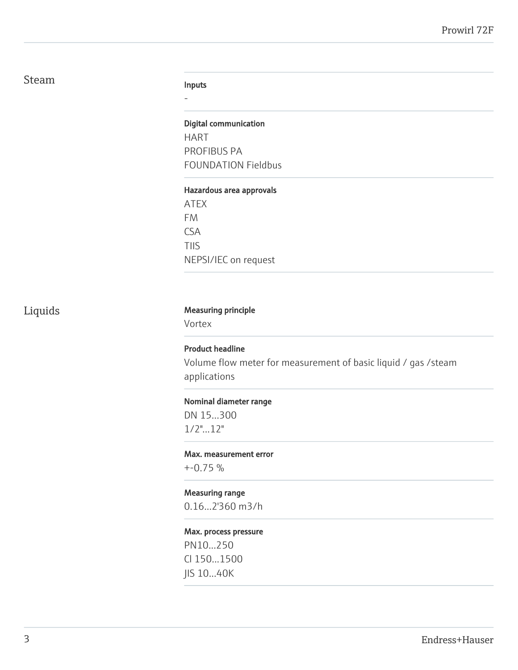### Steam

#### Inputs

-

### Digital communication

HART PROFIBUS PA FOUNDATION Fieldbus

#### Hazardous area approvals

ATEX FM CSA TIIS NEPSI/IEC on request

### Liquids Measuring principle

Vortex

### Product headline

Volume flow meter for measurement of basic liquid / gas /steam applications

### Nominal diameter range

DN 15...300 1/2"...12"

### Max. measurement error

+-0.75 %

### Measuring range

0.16...2'360 m3/h

### Max. process pressure

PN10...250 Cl 150...1500 JIS 10...40K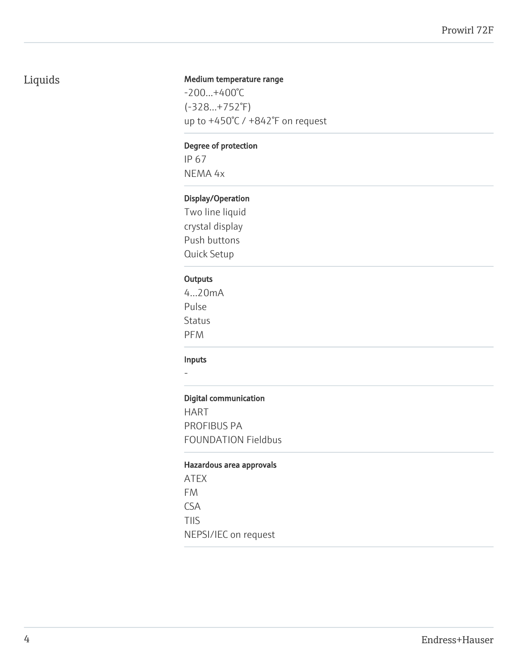### Liquids

### Medium temperature range

-200...+400°C (-328...+752°F) up to +450°C / +842°F on request

### Degree of protection

IP 67 NEMA 4x

### Display/Operation

Two line liquid crystal display Push buttons Quick Setup

### **Outputs**

4...20mA Pulse Status PFM

### Inputs

-

### Digital communication

HART PROFIBUS PA FOUNDATION Fieldbus

### Hazardous area approvals

ATEX FM CSA TIIS NEPSI/IEC on request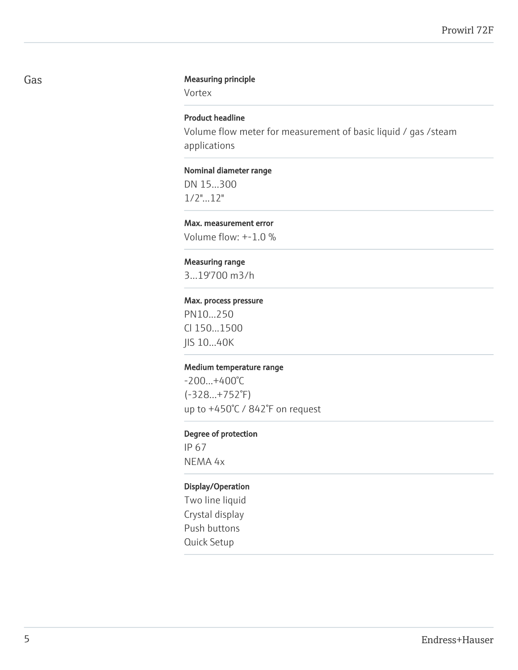#### Gas **Gas** Measuring principle

Vortex

### Product headline

Volume flow meter for measurement of basic liquid / gas /steam applications

### Nominal diameter range

DN 15...300 1/2"...12"

### Max. measurement error

Volume flow: +-1.0 %

### Measuring range

3...19'700 m3/h

#### Max. process pressure

PN10...250 Cl 150...1500 JIS 10...40K

### Medium temperature range

-200...+400°C (-328...+752°F) up to +450°C / 842°F on request

#### Degree of protection

IP 67 NEMA 4x

### Display/Operation

Two line liquid Crystal display Push buttons Quick Setup